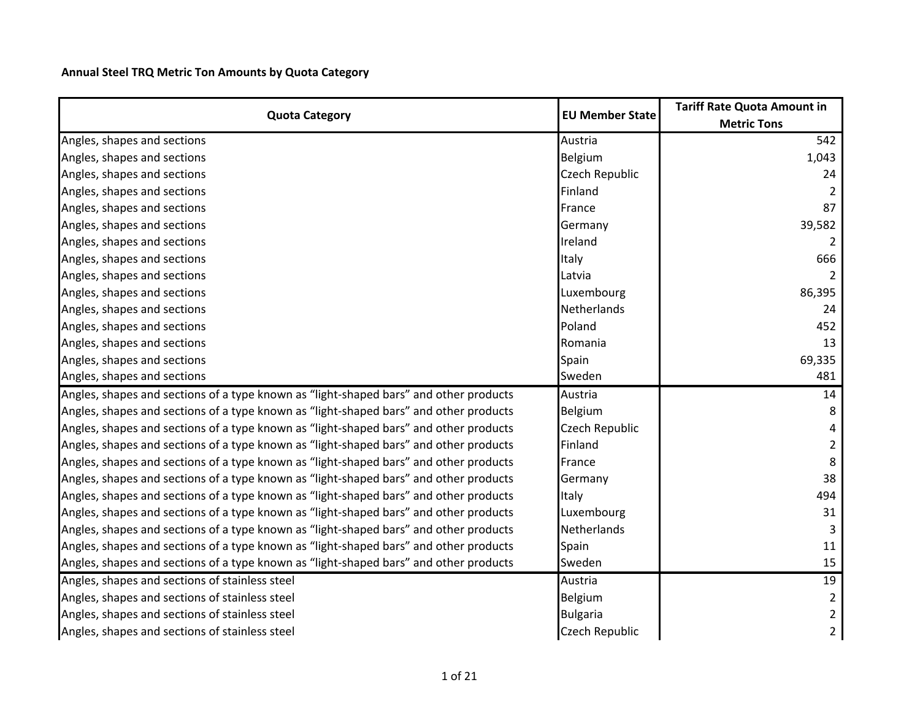**Annual Steel TRQ Metric Ton Amounts by Quota Category**

|                                                                                       | <b>EU Member State</b> | <b>Tariff Rate Quota Amount in</b> |
|---------------------------------------------------------------------------------------|------------------------|------------------------------------|
| <b>Quota Category</b>                                                                 |                        | <b>Metric Tons</b>                 |
| Angles, shapes and sections                                                           | Austria                | 542                                |
| Angles, shapes and sections                                                           | <b>Belgium</b>         | 1,043                              |
| Angles, shapes and sections                                                           | <b>Czech Republic</b>  | 24                                 |
| Angles, shapes and sections                                                           | Finland                |                                    |
| Angles, shapes and sections                                                           | France                 | 87                                 |
| Angles, shapes and sections                                                           | Germany                | 39,582                             |
| Angles, shapes and sections                                                           | Ireland                |                                    |
| Angles, shapes and sections                                                           | Italy                  | 666                                |
| Angles, shapes and sections                                                           | Latvia                 |                                    |
| Angles, shapes and sections                                                           | Luxembourg             | 86,395                             |
| Angles, shapes and sections                                                           | <b>Netherlands</b>     | 24                                 |
| Angles, shapes and sections                                                           | Poland                 | 452                                |
| Angles, shapes and sections                                                           | Romania                | 13                                 |
| Angles, shapes and sections                                                           | Spain                  | 69,335                             |
| Angles, shapes and sections                                                           | Sweden                 | 481                                |
| Angles, shapes and sections of a type known as "light-shaped bars" and other products | Austria                | 14                                 |
| Angles, shapes and sections of a type known as "light-shaped bars" and other products | Belgium                | 8                                  |
| Angles, shapes and sections of a type known as "light-shaped bars" and other products | <b>Czech Republic</b>  |                                    |
| Angles, shapes and sections of a type known as "light-shaped bars" and other products | Finland                | $\overline{2}$                     |
| Angles, shapes and sections of a type known as "light-shaped bars" and other products | France                 | 8                                  |
| Angles, shapes and sections of a type known as "light-shaped bars" and other products | Germany                | 38                                 |
| Angles, shapes and sections of a type known as "light-shaped bars" and other products | Italy                  | 494                                |
| Angles, shapes and sections of a type known as "light-shaped bars" and other products | Luxembourg             | 31                                 |
| Angles, shapes and sections of a type known as "light-shaped bars" and other products | <b>Netherlands</b>     | 3                                  |
| Angles, shapes and sections of a type known as "light-shaped bars" and other products | Spain                  | 11                                 |
| Angles, shapes and sections of a type known as "light-shaped bars" and other products | Sweden                 | 15                                 |
| Angles, shapes and sections of stainless steel                                        | Austria                | 19                                 |
| Angles, shapes and sections of stainless steel                                        | Belgium                | $\overline{2}$                     |
| Angles, shapes and sections of stainless steel                                        | <b>Bulgaria</b>        | $\overline{a}$                     |
| Angles, shapes and sections of stainless steel                                        | <b>Czech Republic</b>  | $\overline{2}$                     |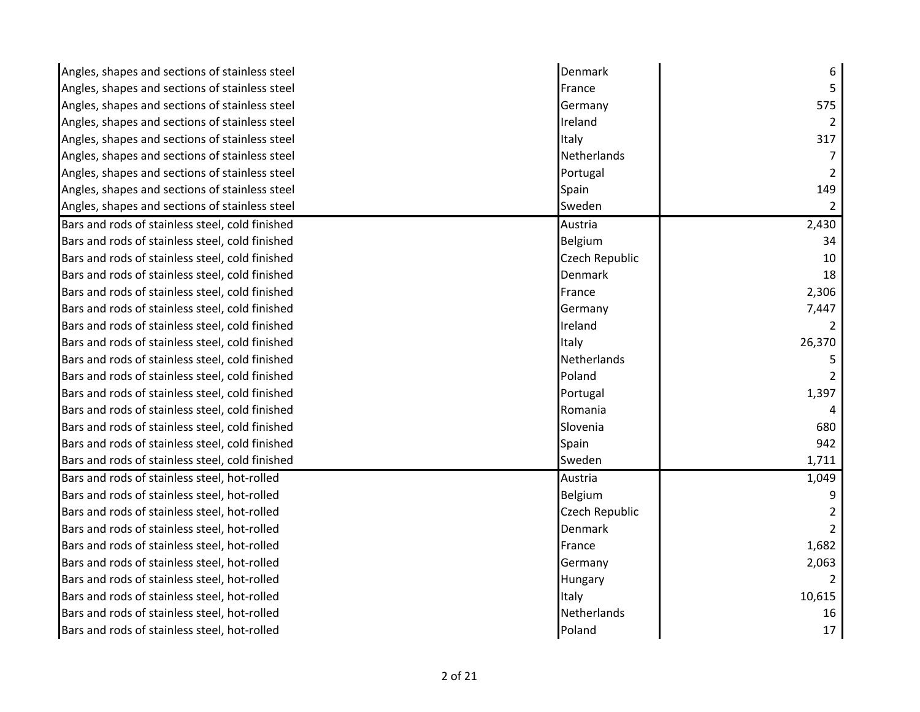| Angles, shapes and sections of stainless steel  | Denmark            | 6      |
|-------------------------------------------------|--------------------|--------|
| Angles, shapes and sections of stainless steel  | France             |        |
| Angles, shapes and sections of stainless steel  | Germany            | 575    |
| Angles, shapes and sections of stainless steel  | Ireland            |        |
| Angles, shapes and sections of stainless steel  | Italy              | 317    |
| Angles, shapes and sections of stainless steel  | <b>Netherlands</b> |        |
| Angles, shapes and sections of stainless steel  | Portugal           |        |
| Angles, shapes and sections of stainless steel  | Spain              | 149    |
| Angles, shapes and sections of stainless steel  | Sweden             |        |
| Bars and rods of stainless steel, cold finished | Austria            | 2,430  |
| Bars and rods of stainless steel, cold finished | Belgium            | 34     |
| Bars and rods of stainless steel, cold finished | Czech Republic     | 10     |
| Bars and rods of stainless steel, cold finished | Denmark            | 18     |
| Bars and rods of stainless steel, cold finished | France             | 2,306  |
| Bars and rods of stainless steel, cold finished | Germany            | 7,447  |
| Bars and rods of stainless steel, cold finished | Ireland            |        |
| Bars and rods of stainless steel, cold finished | Italy              | 26,370 |
| Bars and rods of stainless steel, cold finished | Netherlands        |        |
| Bars and rods of stainless steel, cold finished | Poland             |        |
| Bars and rods of stainless steel, cold finished | Portugal           | 1,397  |
| Bars and rods of stainless steel, cold finished | Romania            |        |
| Bars and rods of stainless steel, cold finished | Slovenia           | 680    |
| Bars and rods of stainless steel, cold finished | Spain              | 942    |
| Bars and rods of stainless steel, cold finished | Sweden             | 1,711  |
| Bars and rods of stainless steel, hot-rolled    | Austria            | 1,049  |
| Bars and rods of stainless steel, hot-rolled    | Belgium            |        |
| Bars and rods of stainless steel, hot-rolled    | Czech Republic     |        |
| Bars and rods of stainless steel, hot-rolled    | Denmark            |        |
| Bars and rods of stainless steel, hot-rolled    | France             | 1,682  |
| Bars and rods of stainless steel, hot-rolled    | Germany            | 2,063  |
| Bars and rods of stainless steel, hot-rolled    | Hungary            |        |
| Bars and rods of stainless steel, hot-rolled    | Italy              | 10,615 |
| Bars and rods of stainless steel, hot-rolled    | Netherlands        | 16     |
| Bars and rods of stainless steel, hot-rolled    | Poland             | 17     |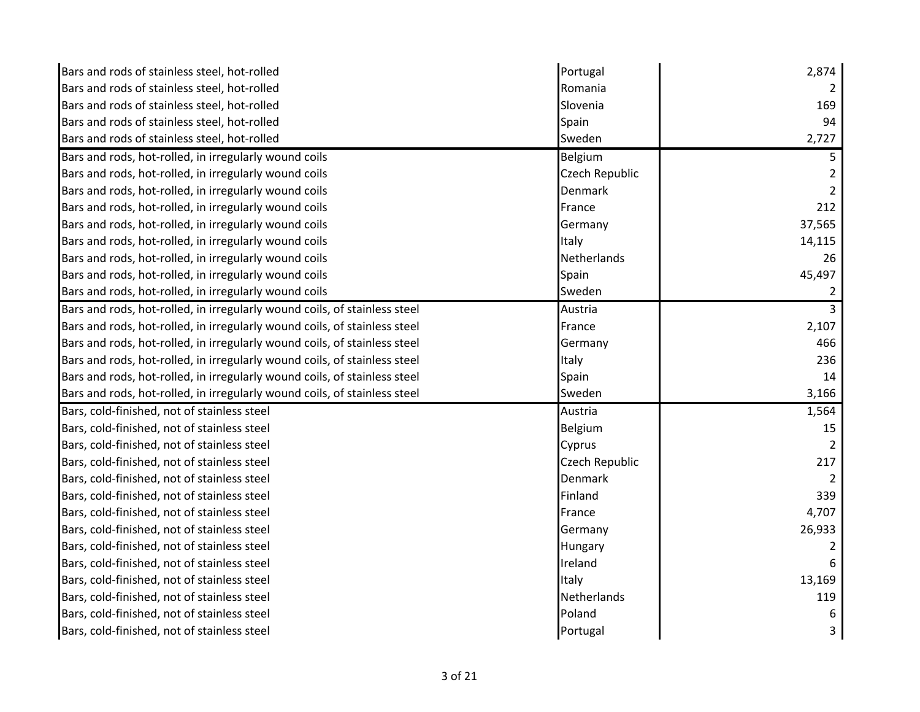| Bars and rods of stainless steel, hot-rolled                              | Portugal       | 2,874          |
|---------------------------------------------------------------------------|----------------|----------------|
| Bars and rods of stainless steel, hot-rolled                              | Romania        |                |
| Bars and rods of stainless steel, hot-rolled                              | Slovenia       | 169            |
| Bars and rods of stainless steel, hot-rolled                              | Spain          | 94             |
| Bars and rods of stainless steel, hot-rolled                              | Sweden         | 2,727          |
| Bars and rods, hot-rolled, in irregularly wound coils                     | Belgium        | 5              |
| Bars and rods, hot-rolled, in irregularly wound coils                     | Czech Republic |                |
| Bars and rods, hot-rolled, in irregularly wound coils                     | Denmark        |                |
| Bars and rods, hot-rolled, in irregularly wound coils                     | France         | 212            |
| Bars and rods, hot-rolled, in irregularly wound coils                     | Germany        | 37,565         |
| Bars and rods, hot-rolled, in irregularly wound coils                     | Italy          | 14,115         |
| Bars and rods, hot-rolled, in irregularly wound coils                     | Netherlands    | 26             |
| Bars and rods, hot-rolled, in irregularly wound coils                     | Spain          | 45,497         |
| Bars and rods, hot-rolled, in irregularly wound coils                     | Sweden         |                |
| Bars and rods, hot-rolled, in irregularly wound coils, of stainless steel | Austria        | $\overline{3}$ |
| Bars and rods, hot-rolled, in irregularly wound coils, of stainless steel | France         | 2,107          |
| Bars and rods, hot-rolled, in irregularly wound coils, of stainless steel | Germany        | 466            |
| Bars and rods, hot-rolled, in irregularly wound coils, of stainless steel | Italy          | 236            |
| Bars and rods, hot-rolled, in irregularly wound coils, of stainless steel | Spain          | 14             |
| Bars and rods, hot-rolled, in irregularly wound coils, of stainless steel | Sweden         | 3,166          |
| Bars, cold-finished, not of stainless steel                               | Austria        | 1,564          |
| Bars, cold-finished, not of stainless steel                               | Belgium        | 15             |
| Bars, cold-finished, not of stainless steel                               | Cyprus         |                |
| Bars, cold-finished, not of stainless steel                               | Czech Republic | 217            |
| Bars, cold-finished, not of stainless steel                               | Denmark        |                |
| Bars, cold-finished, not of stainless steel                               | Finland        | 339            |
| Bars, cold-finished, not of stainless steel                               | France         | 4,707          |
| Bars, cold-finished, not of stainless steel                               | Germany        | 26,933         |
| Bars, cold-finished, not of stainless steel                               | Hungary        |                |
| Bars, cold-finished, not of stainless steel                               | Ireland        | 6              |
| Bars, cold-finished, not of stainless steel                               | Italy          | 13,169         |
| Bars, cold-finished, not of stainless steel                               | Netherlands    | 119            |
| Bars, cold-finished, not of stainless steel                               | Poland         |                |
| Bars, cold-finished, not of stainless steel                               | Portugal       |                |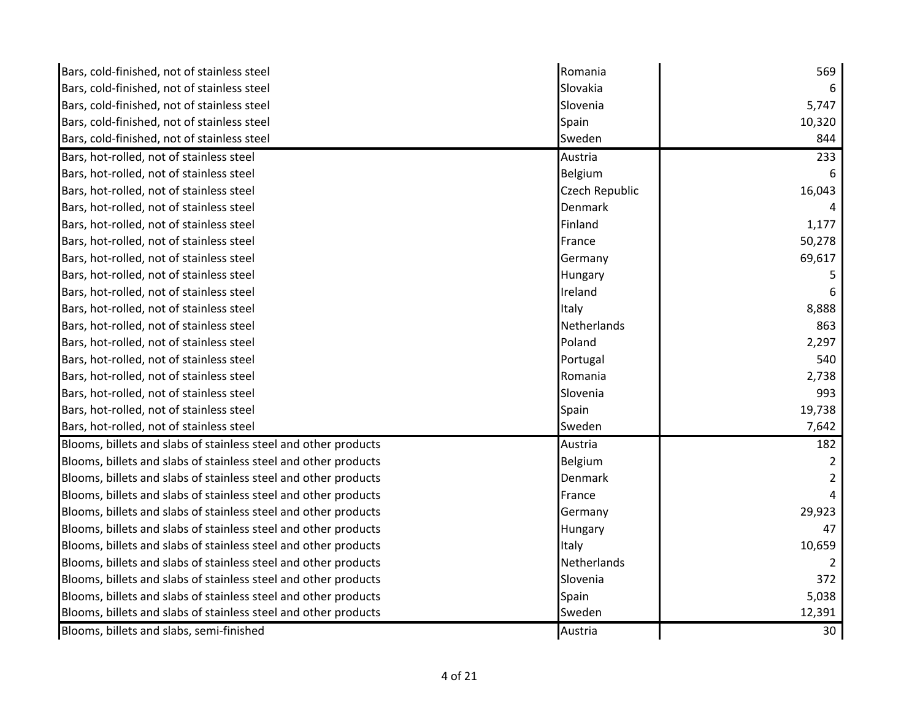| Bars, cold-finished, not of stainless steel                     | Romania        | 569    |
|-----------------------------------------------------------------|----------------|--------|
| Bars, cold-finished, not of stainless steel                     | Slovakia       |        |
| Bars, cold-finished, not of stainless steel                     | Slovenia       | 5,747  |
| Bars, cold-finished, not of stainless steel                     | Spain          | 10,320 |
| Bars, cold-finished, not of stainless steel                     | Sweden         | 844    |
| Bars, hot-rolled, not of stainless steel                        | Austria        | 233    |
| Bars, hot-rolled, not of stainless steel                        | Belgium        | 6      |
| Bars, hot-rolled, not of stainless steel                        | Czech Republic | 16,043 |
| Bars, hot-rolled, not of stainless steel                        | Denmark        |        |
| Bars, hot-rolled, not of stainless steel                        | Finland        | 1,177  |
| Bars, hot-rolled, not of stainless steel                        | France         | 50,278 |
| Bars, hot-rolled, not of stainless steel                        | Germany        | 69,617 |
| Bars, hot-rolled, not of stainless steel                        | Hungary        | 5      |
| Bars, hot-rolled, not of stainless steel                        | Ireland        |        |
| Bars, hot-rolled, not of stainless steel                        | Italy          | 8,888  |
| Bars, hot-rolled, not of stainless steel                        | Netherlands    | 863    |
| Bars, hot-rolled, not of stainless steel                        | Poland         | 2,297  |
| Bars, hot-rolled, not of stainless steel                        | Portugal       | 540    |
| Bars, hot-rolled, not of stainless steel                        | Romania        | 2,738  |
| Bars, hot-rolled, not of stainless steel                        | Slovenia       | 993    |
| Bars, hot-rolled, not of stainless steel                        | Spain          | 19,738 |
| Bars, hot-rolled, not of stainless steel                        | Sweden         | 7,642  |
| Blooms, billets and slabs of stainless steel and other products | Austria        | 182    |
| Blooms, billets and slabs of stainless steel and other products | Belgium        |        |
| Blooms, billets and slabs of stainless steel and other products | Denmark        |        |
| Blooms, billets and slabs of stainless steel and other products | France         |        |
| Blooms, billets and slabs of stainless steel and other products | Germany        | 29,923 |
| Blooms, billets and slabs of stainless steel and other products | Hungary        | 47     |
| Blooms, billets and slabs of stainless steel and other products | Italy          | 10,659 |
| Blooms, billets and slabs of stainless steel and other products | Netherlands    |        |
| Blooms, billets and slabs of stainless steel and other products | Slovenia       | 372    |
| Blooms, billets and slabs of stainless steel and other products | Spain          | 5,038  |
| Blooms, billets and slabs of stainless steel and other products | Sweden         | 12,391 |
| Blooms, billets and slabs, semi-finished                        | Austria        | 30     |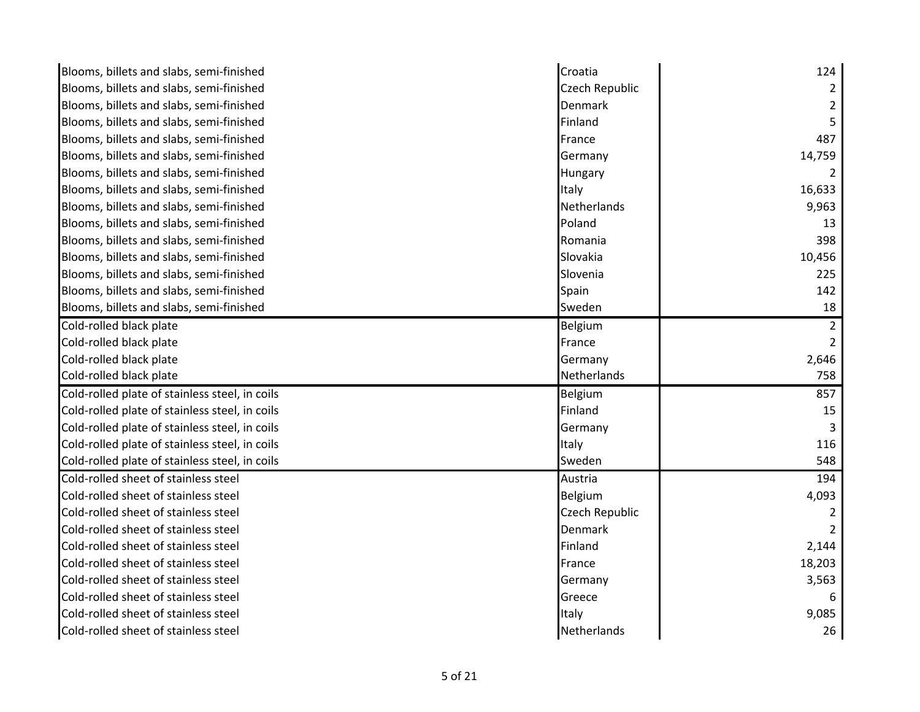| Blooms, billets and slabs, semi-finished       | Croatia               | 124    |
|------------------------------------------------|-----------------------|--------|
| Blooms, billets and slabs, semi-finished       | Czech Republic        |        |
| Blooms, billets and slabs, semi-finished       | <b>Denmark</b>        |        |
| Blooms, billets and slabs, semi-finished       | Finland               |        |
| Blooms, billets and slabs, semi-finished       | France                | 487    |
| Blooms, billets and slabs, semi-finished       | Germany               | 14,759 |
| Blooms, billets and slabs, semi-finished       | Hungary               |        |
| Blooms, billets and slabs, semi-finished       | Italy                 | 16,633 |
| Blooms, billets and slabs, semi-finished       | <b>Netherlands</b>    | 9,963  |
| Blooms, billets and slabs, semi-finished       | Poland                | 13     |
| Blooms, billets and slabs, semi-finished       | Romania               | 398    |
| Blooms, billets and slabs, semi-finished       | Slovakia              | 10,456 |
| Blooms, billets and slabs, semi-finished       | Slovenia              | 225    |
| Blooms, billets and slabs, semi-finished       | Spain                 | 142    |
| Blooms, billets and slabs, semi-finished       | Sweden                | 18     |
| Cold-rolled black plate                        | Belgium               |        |
| Cold-rolled black plate                        | France                |        |
| Cold-rolled black plate                        | Germany               | 2,646  |
| Cold-rolled black plate                        | Netherlands           | 758    |
| Cold-rolled plate of stainless steel, in coils | Belgium               | 857    |
| Cold-rolled plate of stainless steel, in coils | Finland               | 15     |
| Cold-rolled plate of stainless steel, in coils | Germany               |        |
| Cold-rolled plate of stainless steel, in coils | Italy                 | 116    |
| Cold-rolled plate of stainless steel, in coils | Sweden                | 548    |
| Cold-rolled sheet of stainless steel           | Austria               | 194    |
| Cold-rolled sheet of stainless steel           | Belgium               | 4,093  |
| Cold-rolled sheet of stainless steel           | <b>Czech Republic</b> |        |
| Cold-rolled sheet of stainless steel           | Denmark               |        |
| Cold-rolled sheet of stainless steel           | Finland               | 2,144  |
| Cold-rolled sheet of stainless steel           | France                | 18,203 |
| Cold-rolled sheet of stainless steel           | Germany               | 3,563  |
| Cold-rolled sheet of stainless steel           | Greece                |        |
| Cold-rolled sheet of stainless steel           | Italy                 | 9,085  |
| Cold-rolled sheet of stainless steel           | <b>Netherlands</b>    | 26     |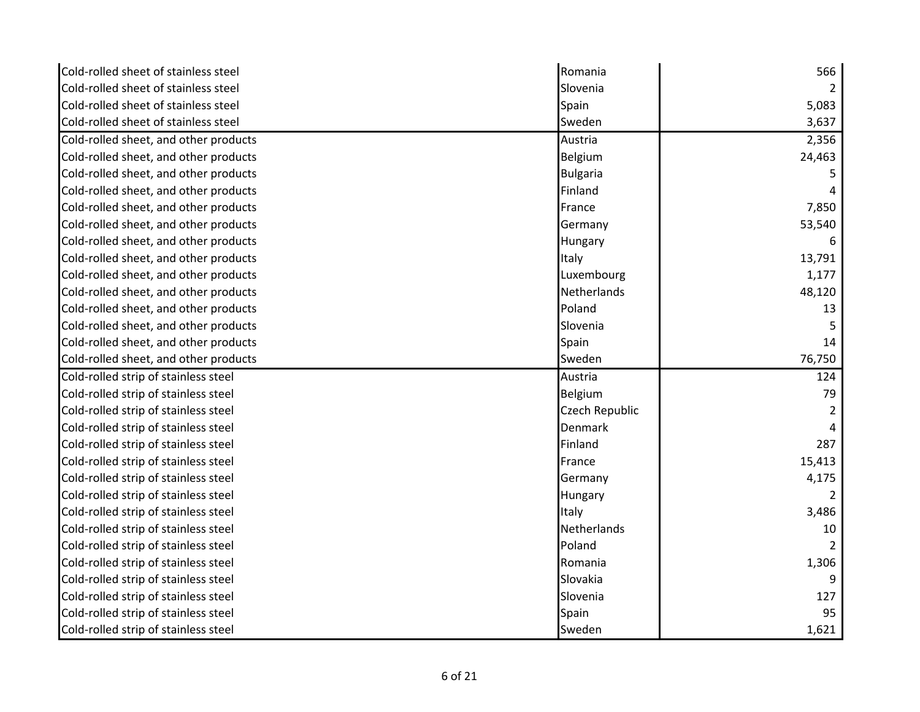| Cold-rolled sheet of stainless steel  | Romania         | 566           |
|---------------------------------------|-----------------|---------------|
| Cold-rolled sheet of stainless steel  | Slovenia        | $\mathcal{P}$ |
| Cold-rolled sheet of stainless steel  | Spain           | 5,083         |
| Cold-rolled sheet of stainless steel  | Sweden          | 3,637         |
| Cold-rolled sheet, and other products | Austria         | 2,356         |
| Cold-rolled sheet, and other products | Belgium         | 24,463        |
| Cold-rolled sheet, and other products | <b>Bulgaria</b> |               |
| Cold-rolled sheet, and other products | Finland         |               |
| Cold-rolled sheet, and other products | France          | 7,850         |
| Cold-rolled sheet, and other products | Germany         | 53,540        |
| Cold-rolled sheet, and other products | Hungary         | 6             |
| Cold-rolled sheet, and other products | Italy           | 13,791        |
| Cold-rolled sheet, and other products | Luxembourg      | 1,177         |
| Cold-rolled sheet, and other products | Netherlands     | 48,120        |
| Cold-rolled sheet, and other products | Poland          | 13            |
| Cold-rolled sheet, and other products | Slovenia        |               |
| Cold-rolled sheet, and other products | Spain           | 14            |
|                                       |                 |               |
| Cold-rolled sheet, and other products | Sweden          | 76,750        |
| Cold-rolled strip of stainless steel  | Austria         | 124           |
| Cold-rolled strip of stainless steel  | Belgium         | 79            |
| Cold-rolled strip of stainless steel  | Czech Republic  |               |
| Cold-rolled strip of stainless steel  | Denmark         |               |
| Cold-rolled strip of stainless steel  | Finland         | 287           |
| Cold-rolled strip of stainless steel  | France          | 15,413        |
| Cold-rolled strip of stainless steel  | Germany         | 4,175         |
| Cold-rolled strip of stainless steel  | Hungary         | 2             |
| Cold-rolled strip of stainless steel  | Italy           | 3,486         |
| Cold-rolled strip of stainless steel  | Netherlands     | 10            |
| Cold-rolled strip of stainless steel  | Poland          | $\mathcal{P}$ |
| Cold-rolled strip of stainless steel  | Romania         | 1,306         |
| Cold-rolled strip of stainless steel  | Slovakia        | 9             |
| Cold-rolled strip of stainless steel  | Slovenia        | 127           |
| Cold-rolled strip of stainless steel  | Spain           | 95            |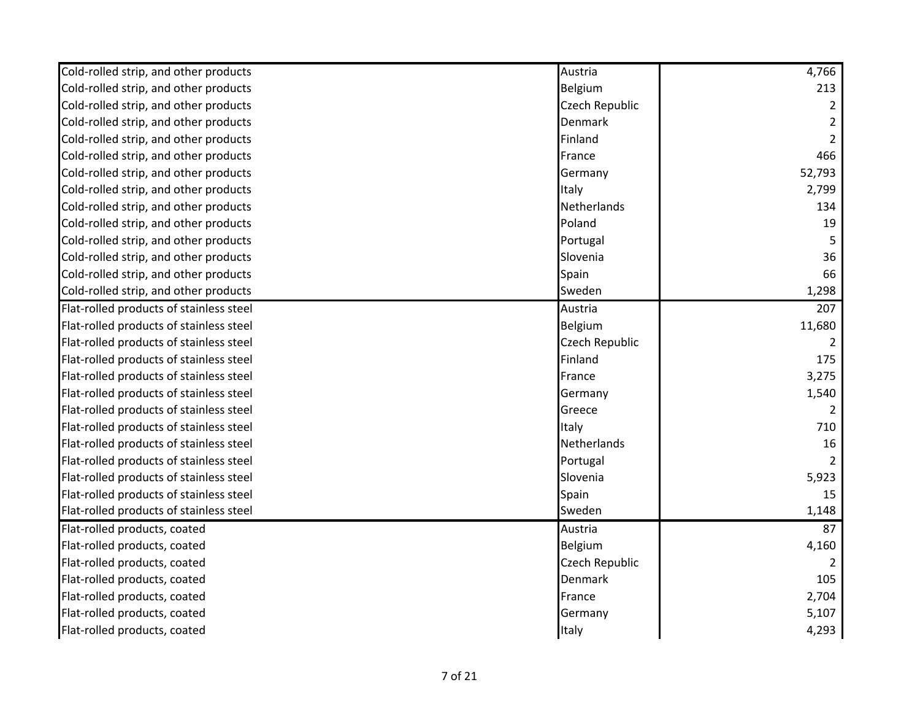| Cold-rolled strip, and other products   | Austria               | 4,766           |
|-----------------------------------------|-----------------------|-----------------|
| Cold-rolled strip, and other products   | Belgium               | 213             |
| Cold-rolled strip, and other products   | <b>Czech Republic</b> | 2               |
| Cold-rolled strip, and other products   | <b>Denmark</b>        |                 |
| Cold-rolled strip, and other products   | Finland               | 2               |
| Cold-rolled strip, and other products   | France                | 466             |
| Cold-rolled strip, and other products   | Germany               | 52,793          |
| Cold-rolled strip, and other products   | Italy                 | 2,799           |
| Cold-rolled strip, and other products   | Netherlands           | 134             |
| Cold-rolled strip, and other products   | Poland                | 19              |
| Cold-rolled strip, and other products   | Portugal              | .5              |
| Cold-rolled strip, and other products   | Slovenia              | 36              |
| Cold-rolled strip, and other products   | Spain                 | 66              |
| Cold-rolled strip, and other products   | Sweden                | 1,298           |
| Flat-rolled products of stainless steel | Austria               | 207             |
| Flat-rolled products of stainless steel | Belgium               | 11,680          |
| Flat-rolled products of stainless steel | <b>Czech Republic</b> | 2               |
| Flat-rolled products of stainless steel | Finland               | 175             |
| Flat-rolled products of stainless steel | France                | 3,275           |
| Flat-rolled products of stainless steel | Germany               | 1,540           |
| Flat-rolled products of stainless steel | Greece                |                 |
| Flat-rolled products of stainless steel | Italy                 | 710             |
| Flat-rolled products of stainless steel | Netherlands           | 16              |
| Flat-rolled products of stainless steel | Portugal              |                 |
| Flat-rolled products of stainless steel | Slovenia              | 5,923           |
| Flat-rolled products of stainless steel | Spain                 | 15              |
| Flat-rolled products of stainless steel | Sweden                | 1,148           |
| Flat-rolled products, coated            | Austria               | $\overline{87}$ |
| Flat-rolled products, coated            | Belgium               | 4,160           |
| Flat-rolled products, coated            | Czech Republic        |                 |
| Flat-rolled products, coated            | <b>Denmark</b>        | 105             |
| Flat-rolled products, coated            | France                | 2,704           |
| Flat-rolled products, coated            | Germany               | 5,107           |
| Flat-rolled products, coated            | Italy                 | 4,293           |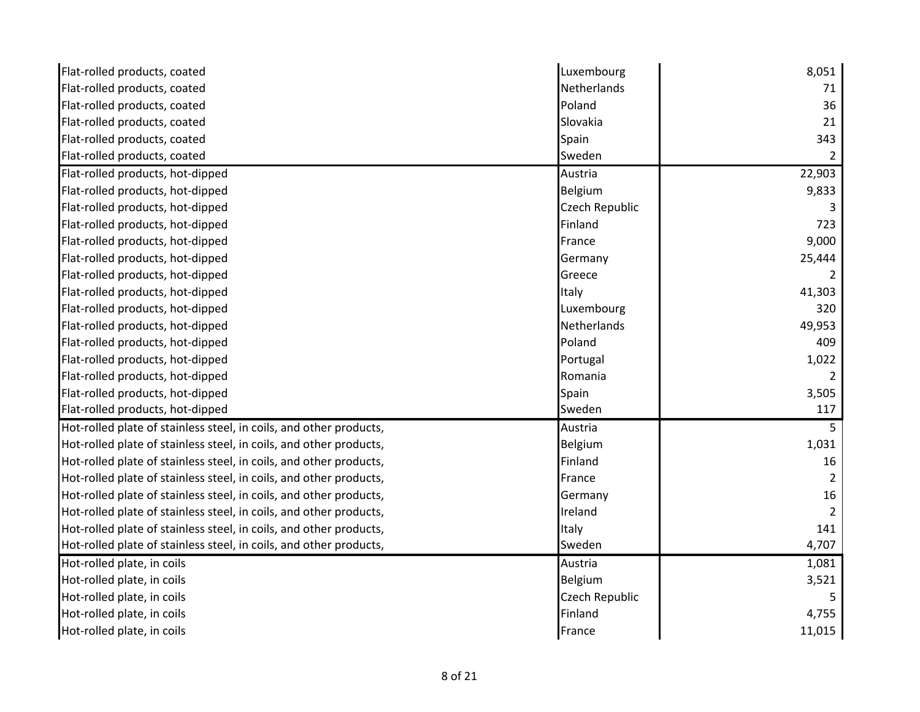| Flat-rolled products, coated                                       | Luxembourg     | 8,051          |
|--------------------------------------------------------------------|----------------|----------------|
| Flat-rolled products, coated                                       | Netherlands    | 71             |
| Flat-rolled products, coated                                       | Poland         | 36             |
| Flat-rolled products, coated                                       | Slovakia       | 21             |
| Flat-rolled products, coated                                       | Spain          | 343            |
| Flat-rolled products, coated                                       | Sweden         | 2              |
| Flat-rolled products, hot-dipped                                   | Austria        | 22,903         |
| Flat-rolled products, hot-dipped                                   | Belgium        | 9,833          |
| Flat-rolled products, hot-dipped                                   | Czech Republic |                |
| Flat-rolled products, hot-dipped                                   | Finland        | 723            |
| Flat-rolled products, hot-dipped                                   | France         | 9,000          |
| Flat-rolled products, hot-dipped                                   | Germany        | 25,444         |
| Flat-rolled products, hot-dipped                                   | Greece         |                |
| Flat-rolled products, hot-dipped                                   | Italy          | 41,303         |
| Flat-rolled products, hot-dipped                                   | Luxembourg     | 320            |
| Flat-rolled products, hot-dipped                                   | Netherlands    | 49,953         |
| Flat-rolled products, hot-dipped                                   | Poland         | 409            |
| Flat-rolled products, hot-dipped                                   | Portugal       | 1,022          |
| Flat-rolled products, hot-dipped                                   | Romania        |                |
| Flat-rolled products, hot-dipped                                   | Spain          | 3,505          |
| Flat-rolled products, hot-dipped                                   | Sweden         | 117            |
| Hot-rolled plate of stainless steel, in coils, and other products, | Austria        | 5              |
| Hot-rolled plate of stainless steel, in coils, and other products, | Belgium        | 1,031          |
| Hot-rolled plate of stainless steel, in coils, and other products, | Finland        | 16             |
| Hot-rolled plate of stainless steel, in coils, and other products, | France         | $\overline{2}$ |
| Hot-rolled plate of stainless steel, in coils, and other products, | Germany        | 16             |
| Hot-rolled plate of stainless steel, in coils, and other products, | Ireland        | 2              |
| Hot-rolled plate of stainless steel, in coils, and other products, | Italy          | 141            |
| Hot-rolled plate of stainless steel, in coils, and other products, | Sweden         | 4,707          |
| Hot-rolled plate, in coils                                         | Austria        | 1,081          |
| Hot-rolled plate, in coils                                         | Belgium        | 3,521          |
| Hot-rolled plate, in coils                                         | Czech Republic |                |
| Hot-rolled plate, in coils                                         | Finland        | 4,755          |
| Hot-rolled plate, in coils                                         | France         | 11,015         |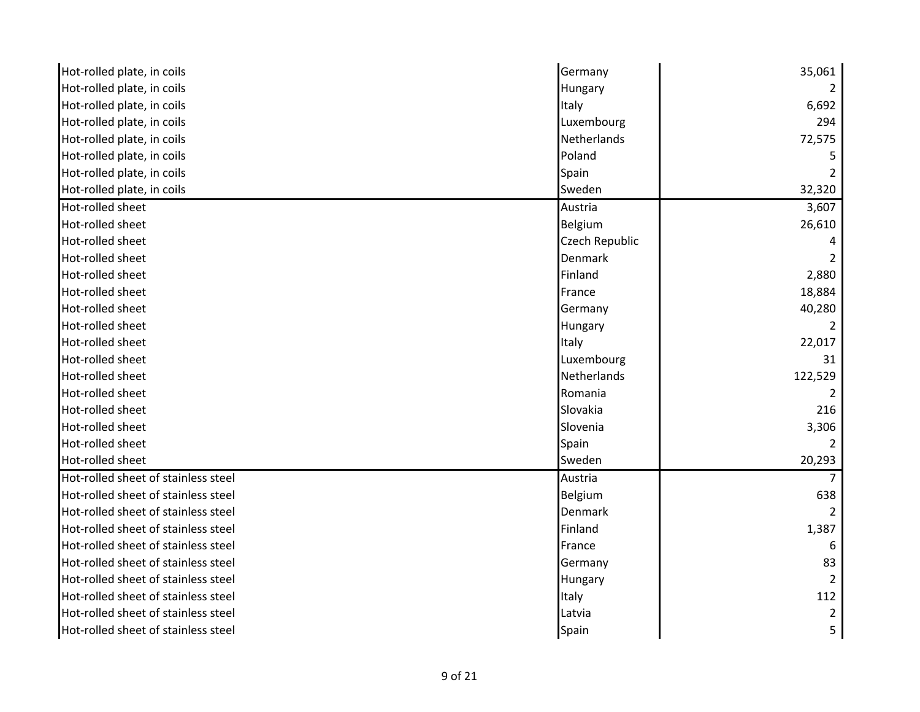| Hot-rolled plate, in coils          | Germany            | 35,061        |
|-------------------------------------|--------------------|---------------|
| Hot-rolled plate, in coils          | Hungary            |               |
| Hot-rolled plate, in coils          | Italy              | 6,692         |
| Hot-rolled plate, in coils          | Luxembourg         | 294           |
| Hot-rolled plate, in coils          | <b>Netherlands</b> | 72,575        |
| Hot-rolled plate, in coils          | Poland             |               |
| Hot-rolled plate, in coils          | Spain              |               |
| Hot-rolled plate, in coils          | Sweden             | 32,320        |
| Hot-rolled sheet                    | Austria            | 3,607         |
| Hot-rolled sheet                    | Belgium            | 26,610        |
| Hot-rolled sheet                    | Czech Republic     |               |
| Hot-rolled sheet                    | <b>Denmark</b>     |               |
| Hot-rolled sheet                    | Finland            | 2,880         |
| Hot-rolled sheet                    | France             | 18,884        |
| Hot-rolled sheet                    | Germany            | 40,280        |
| Hot-rolled sheet                    | Hungary            |               |
| Hot-rolled sheet                    | Italy              | 22,017        |
| Hot-rolled sheet                    | Luxembourg         | 31            |
| Hot-rolled sheet                    | Netherlands        | 122,529       |
| Hot-rolled sheet                    | Romania            |               |
| Hot-rolled sheet                    | Slovakia           | 216           |
| Hot-rolled sheet                    | Slovenia           | 3,306         |
| Hot-rolled sheet                    | Spain              |               |
| Hot-rolled sheet                    | Sweden             | 20,293        |
| Hot-rolled sheet of stainless steel | Austria            |               |
| Hot-rolled sheet of stainless steel | Belgium            | 638           |
| Hot-rolled sheet of stainless steel | <b>Denmark</b>     | $\mathcal{P}$ |
| Hot-rolled sheet of stainless steel | Finland            | 1,387         |
| Hot-rolled sheet of stainless steel | France             | 6             |
| Hot-rolled sheet of stainless steel | Germany            | 83            |
| Hot-rolled sheet of stainless steel | Hungary            | 2             |
| Hot-rolled sheet of stainless steel | Italy              | 112           |
| Hot-rolled sheet of stainless steel | Latvia             |               |
| Hot-rolled sheet of stainless steel | Spain              |               |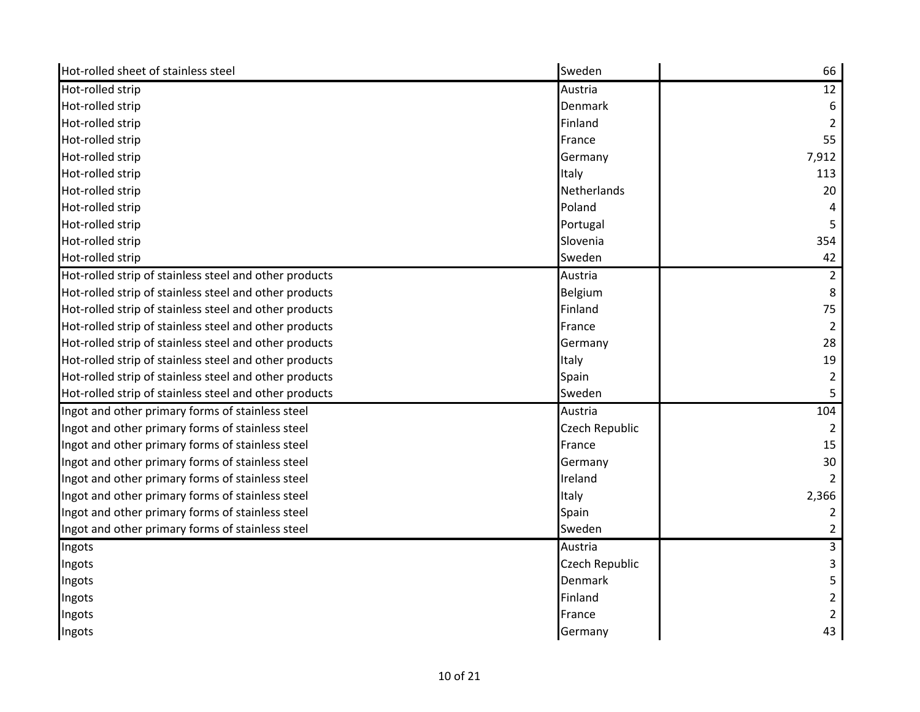| Hot-rolled sheet of stainless steel                    | Sweden             | 66             |
|--------------------------------------------------------|--------------------|----------------|
| Hot-rolled strip                                       | Austria            | 12             |
| Hot-rolled strip                                       | Denmark            | 6              |
| Hot-rolled strip                                       | Finland            |                |
| Hot-rolled strip                                       | France             | 55             |
| Hot-rolled strip                                       | Germany            | 7,912          |
| Hot-rolled strip                                       | Italy              | 113            |
| Hot-rolled strip                                       | <b>Netherlands</b> | 20             |
| Hot-rolled strip                                       | Poland             |                |
| Hot-rolled strip                                       | Portugal           | 5              |
| Hot-rolled strip                                       | Slovenia           | 354            |
| Hot-rolled strip                                       | Sweden             | 42             |
| Hot-rolled strip of stainless steel and other products | Austria            | $\overline{2}$ |
| Hot-rolled strip of stainless steel and other products | Belgium            | 8              |
| Hot-rolled strip of stainless steel and other products | Finland            | 75             |
| Hot-rolled strip of stainless steel and other products | France             |                |
| Hot-rolled strip of stainless steel and other products | Germany            | 28             |
| Hot-rolled strip of stainless steel and other products | Italy              | 19             |
| Hot-rolled strip of stainless steel and other products | Spain              | 2              |
| Hot-rolled strip of stainless steel and other products | Sweden             |                |
| Ingot and other primary forms of stainless steel       | Austria            | 104            |
| Ingot and other primary forms of stainless steel       | Czech Republic     |                |
| Ingot and other primary forms of stainless steel       | France             | 15             |
| Ingot and other primary forms of stainless steel       | Germany            | 30             |
| Ingot and other primary forms of stainless steel       | Ireland            |                |
| Ingot and other primary forms of stainless steel       | Italy              | 2,366          |
| Ingot and other primary forms of stainless steel       | Spain              | $\overline{2}$ |
| Ingot and other primary forms of stainless steel       | Sweden             | 2              |
| Ingots                                                 | Austria            | 3              |
| Ingots                                                 | Czech Republic     | 3              |
| Ingots                                                 | Denmark            |                |
| Ingots                                                 | Finland            | 2              |
| Ingots                                                 | France             |                |
| Ingots                                                 | Germany            | 43             |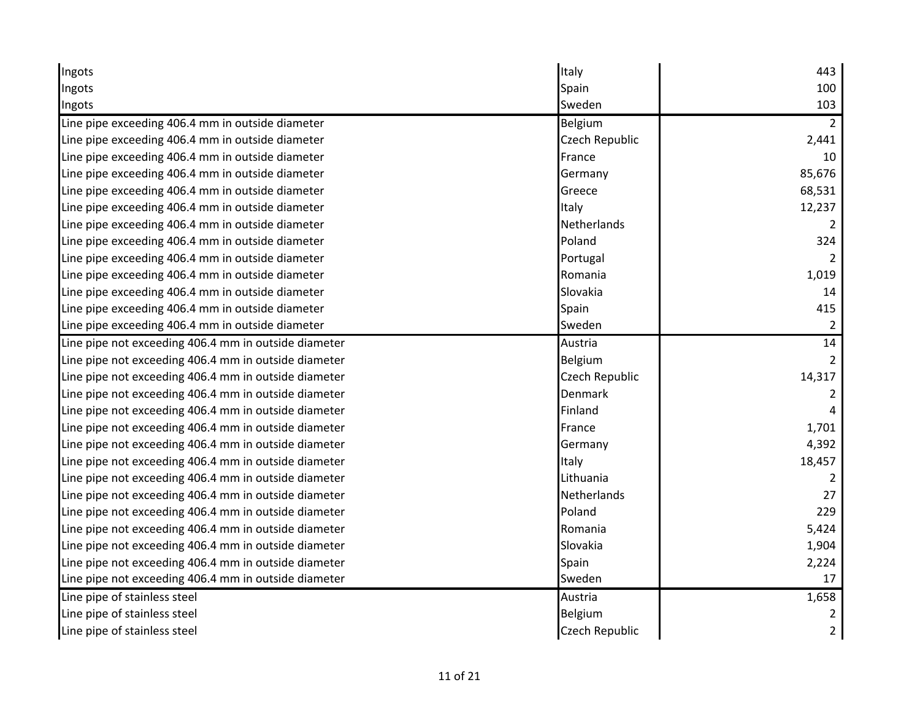| Ingots                                               | Italy          | 443            |
|------------------------------------------------------|----------------|----------------|
| Ingots                                               | Spain          | 100            |
| Ingots                                               | Sweden         | 103            |
| Line pipe exceeding 406.4 mm in outside diameter     | Belgium        |                |
| Line pipe exceeding 406.4 mm in outside diameter     | Czech Republic | 2,441          |
| Line pipe exceeding 406.4 mm in outside diameter     | France         | 10             |
| Line pipe exceeding 406.4 mm in outside diameter     | Germany        | 85,676         |
| Line pipe exceeding 406.4 mm in outside diameter     | Greece         | 68,531         |
| Line pipe exceeding 406.4 mm in outside diameter     | Italy          | 12,237         |
| Line pipe exceeding 406.4 mm in outside diameter     | Netherlands    |                |
| Line pipe exceeding 406.4 mm in outside diameter     | Poland         | 324            |
| Line pipe exceeding 406.4 mm in outside diameter     | Portugal       |                |
| Line pipe exceeding 406.4 mm in outside diameter     | Romania        | 1,019          |
| Line pipe exceeding 406.4 mm in outside diameter     | Slovakia       | 14             |
| Line pipe exceeding 406.4 mm in outside diameter     | Spain          | 415            |
| Line pipe exceeding 406.4 mm in outside diameter     | Sweden         | 2              |
| Line pipe not exceeding 406.4 mm in outside diameter | Austria        | 14             |
| Line pipe not exceeding 406.4 mm in outside diameter | Belgium        |                |
| Line pipe not exceeding 406.4 mm in outside diameter | Czech Republic | 14,317         |
| Line pipe not exceeding 406.4 mm in outside diameter | <b>Denmark</b> |                |
| Line pipe not exceeding 406.4 mm in outside diameter | Finland        |                |
| Line pipe not exceeding 406.4 mm in outside diameter | France         | 1,701          |
| Line pipe not exceeding 406.4 mm in outside diameter | Germany        | 4,392          |
| Line pipe not exceeding 406.4 mm in outside diameter | Italy          | 18,457         |
| Line pipe not exceeding 406.4 mm in outside diameter | Lithuania      | 2              |
| Line pipe not exceeding 406.4 mm in outside diameter | Netherlands    | 27             |
| Line pipe not exceeding 406.4 mm in outside diameter | Poland         | 229            |
| Line pipe not exceeding 406.4 mm in outside diameter | Romania        | 5,424          |
| Line pipe not exceeding 406.4 mm in outside diameter | Slovakia       | 1,904          |
| Line pipe not exceeding 406.4 mm in outside diameter | Spain          | 2,224          |
| Line pipe not exceeding 406.4 mm in outside diameter | Sweden         | 17             |
| Line pipe of stainless steel                         | Austria        | 1,658          |
| Line pipe of stainless steel                         | Belgium        |                |
| Line pipe of stainless steel                         | Czech Republic | $\overline{2}$ |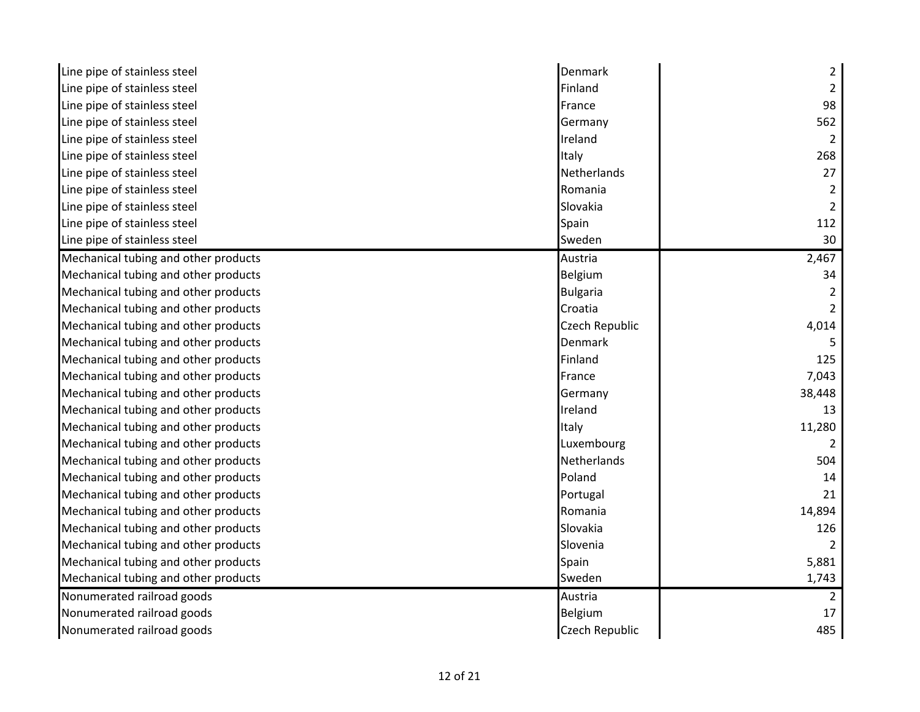| Line pipe of stainless steel         | Denmark               | 2             |
|--------------------------------------|-----------------------|---------------|
| Line pipe of stainless steel         | Finland               |               |
| Line pipe of stainless steel         | France                | 98            |
| Line pipe of stainless steel         | Germany               | 562           |
| Line pipe of stainless steel         | Ireland               | 2             |
| Line pipe of stainless steel         | Italy                 | 268           |
| Line pipe of stainless steel         | Netherlands           | 27            |
| Line pipe of stainless steel         | Romania               |               |
| Line pipe of stainless steel         | Slovakia              | 2             |
| Line pipe of stainless steel         | Spain                 | 112           |
| Line pipe of stainless steel         | Sweden                | 30            |
| Mechanical tubing and other products | Austria               | 2,467         |
| Mechanical tubing and other products | Belgium               | 34            |
| Mechanical tubing and other products | Bulgaria              |               |
| Mechanical tubing and other products | Croatia               |               |
| Mechanical tubing and other products | Czech Republic        | 4,014         |
| Mechanical tubing and other products | <b>Denmark</b>        |               |
| Mechanical tubing and other products | Finland               | 125           |
| Mechanical tubing and other products | France                | 7,043         |
| Mechanical tubing and other products | Germany               | 38,448        |
| Mechanical tubing and other products | Ireland               | 13            |
| Mechanical tubing and other products | Italy                 | 11,280        |
| Mechanical tubing and other products | Luxembourg            |               |
| Mechanical tubing and other products | Netherlands           | 504           |
| Mechanical tubing and other products | Poland                | 14            |
| Mechanical tubing and other products | Portugal              | 21            |
| Mechanical tubing and other products | Romania               | 14,894        |
| Mechanical tubing and other products | Slovakia              | 126           |
| Mechanical tubing and other products | Slovenia              |               |
| Mechanical tubing and other products | Spain                 | 5,881         |
| Mechanical tubing and other products | Sweden                | 1,743         |
| Nonumerated railroad goods           | Austria               | $\mathcal{L}$ |
| Nonumerated railroad goods           | Belgium               | 17            |
| Nonumerated railroad goods           | <b>Czech Republic</b> | 485           |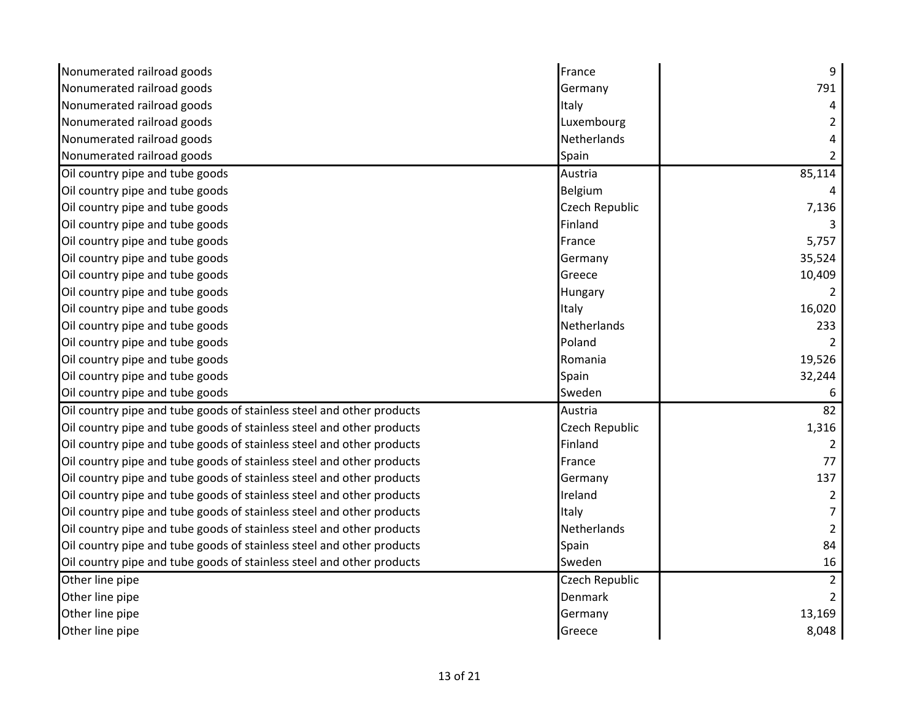| Nonumerated railroad goods                                            | France         | 9               |
|-----------------------------------------------------------------------|----------------|-----------------|
| Nonumerated railroad goods                                            | Germany        | 791             |
| Nonumerated railroad goods                                            | Italy          | 4               |
| Nonumerated railroad goods                                            | Luxembourg     |                 |
| Nonumerated railroad goods                                            | Netherlands    |                 |
| Nonumerated railroad goods                                            | Spain          |                 |
| Oil country pipe and tube goods                                       | Austria        | 85,114          |
| Oil country pipe and tube goods                                       | Belgium        | 4               |
| Oil country pipe and tube goods                                       | Czech Republic | 7,136           |
| Oil country pipe and tube goods                                       | Finland        |                 |
| Oil country pipe and tube goods                                       | France         | 5,757           |
| Oil country pipe and tube goods                                       | Germany        | 35,524          |
| Oil country pipe and tube goods                                       | Greece         | 10,409          |
| Oil country pipe and tube goods                                       | Hungary        |                 |
| Oil country pipe and tube goods                                       | Italy          | 16,020          |
| Oil country pipe and tube goods                                       | Netherlands    | 233             |
| Oil country pipe and tube goods                                       | Poland         |                 |
| Oil country pipe and tube goods                                       | Romania        | 19,526          |
| Oil country pipe and tube goods                                       | Spain          | 32,244          |
| Oil country pipe and tube goods                                       | Sweden         |                 |
| Oil country pipe and tube goods of stainless steel and other products | Austria        | $\overline{82}$ |
| Oil country pipe and tube goods of stainless steel and other products | Czech Republic | 1,316           |
| Oil country pipe and tube goods of stainless steel and other products | Finland        |                 |
| Oil country pipe and tube goods of stainless steel and other products | France         | 77              |
| Oil country pipe and tube goods of stainless steel and other products | Germany        | 137             |
| Oil country pipe and tube goods of stainless steel and other products | Ireland        | $\overline{2}$  |
| Oil country pipe and tube goods of stainless steel and other products | Italy          |                 |
| Oil country pipe and tube goods of stainless steel and other products | Netherlands    |                 |
| Oil country pipe and tube goods of stainless steel and other products | Spain          | 84              |
| Oil country pipe and tube goods of stainless steel and other products | Sweden         | 16              |
| Other line pipe                                                       | Czech Republic | $\overline{2}$  |
| Other line pipe                                                       | Denmark        | $\overline{2}$  |
| Other line pipe                                                       | Germany        | 13,169          |
| Other line pipe                                                       | Greece         | 8,048           |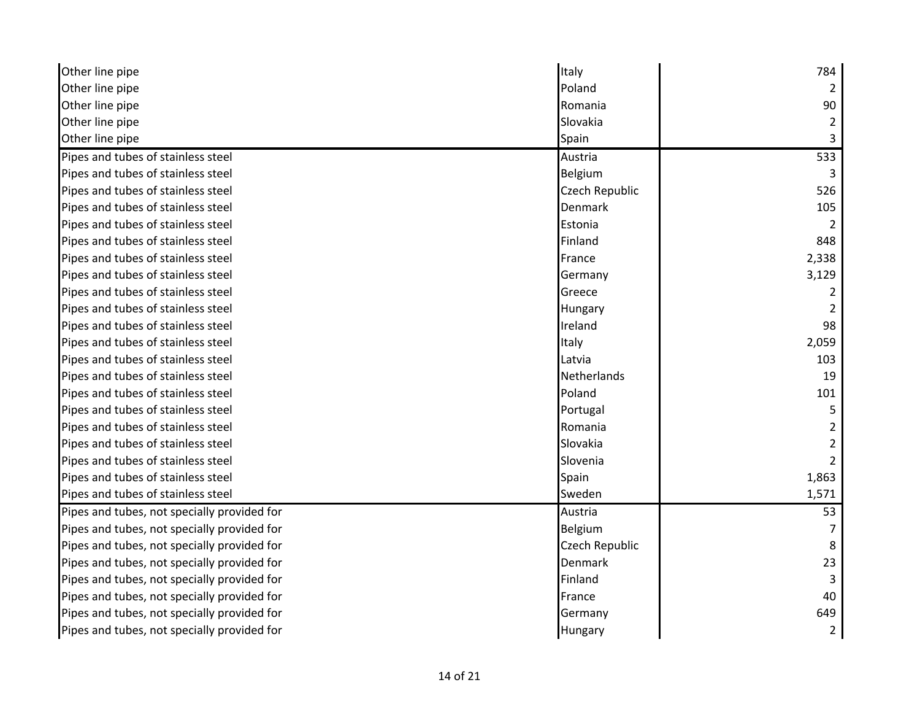| Other line pipe                             | Italy          | 784            |
|---------------------------------------------|----------------|----------------|
| Other line pipe                             | Poland         |                |
| Other line pipe                             | Romania        | 90             |
| Other line pipe                             | Slovakia       |                |
| Other line pipe                             | Spain          |                |
| Pipes and tubes of stainless steel          | Austria        | 533            |
| Pipes and tubes of stainless steel          | Belgium        |                |
| Pipes and tubes of stainless steel          | Czech Republic | 526            |
| Pipes and tubes of stainless steel          | Denmark        | 105            |
| Pipes and tubes of stainless steel          | Estonia        |                |
| Pipes and tubes of stainless steel          | Finland        | 848            |
| Pipes and tubes of stainless steel          | France         | 2,338          |
| Pipes and tubes of stainless steel          | Germany        | 3,129          |
| Pipes and tubes of stainless steel          | Greece         |                |
| Pipes and tubes of stainless steel          | Hungary        |                |
| Pipes and tubes of stainless steel          | Ireland        | 98             |
| Pipes and tubes of stainless steel          | Italy          | 2,059          |
| Pipes and tubes of stainless steel          | Latvia         | 103            |
| Pipes and tubes of stainless steel          | Netherlands    | 19             |
| Pipes and tubes of stainless steel          | Poland         | 101            |
| Pipes and tubes of stainless steel          | Portugal       |                |
| Pipes and tubes of stainless steel          | Romania        |                |
| Pipes and tubes of stainless steel          | Slovakia       |                |
| Pipes and tubes of stainless steel          | Slovenia       |                |
| Pipes and tubes of stainless steel          | Spain          | 1,863          |
| Pipes and tubes of stainless steel          | Sweden         | 1,571          |
| Pipes and tubes, not specially provided for | Austria        | 53             |
| Pipes and tubes, not specially provided for | Belgium        |                |
| Pipes and tubes, not specially provided for | Czech Republic | 8              |
| Pipes and tubes, not specially provided for | Denmark        | 23             |
| Pipes and tubes, not specially provided for | Finland        |                |
| Pipes and tubes, not specially provided for | France         | 40             |
| Pipes and tubes, not specially provided for | Germany        | 649            |
| Pipes and tubes, not specially provided for | Hungary        | $\overline{2}$ |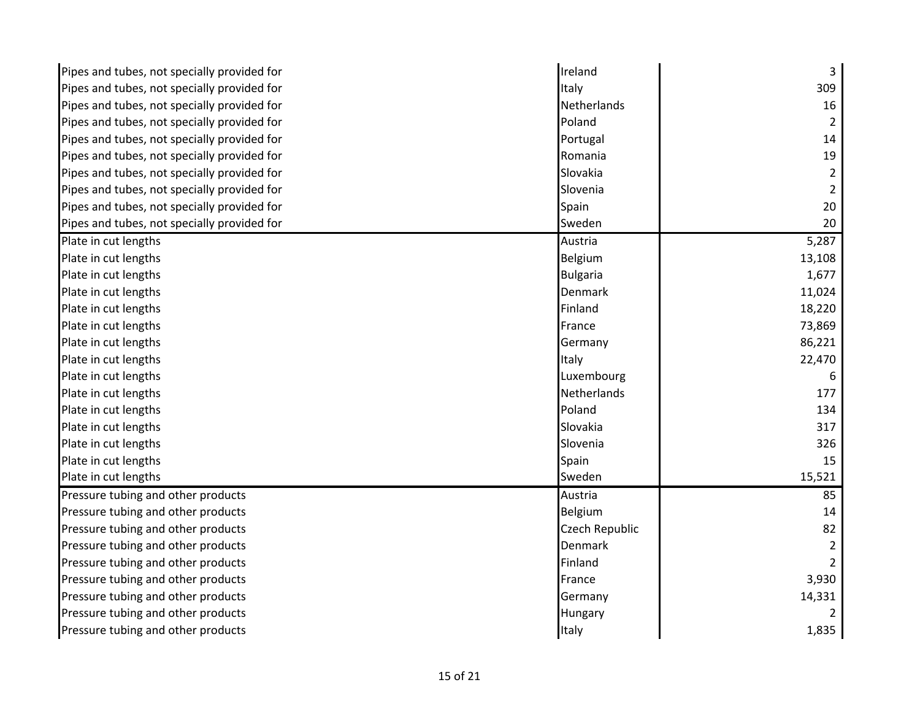| Pipes and tubes, not specially provided for | Ireland         | 3      |
|---------------------------------------------|-----------------|--------|
| Pipes and tubes, not specially provided for | Italy           | 309    |
| Pipes and tubes, not specially provided for | Netherlands     | 16     |
| Pipes and tubes, not specially provided for | Poland          | 2      |
| Pipes and tubes, not specially provided for | Portugal        | 14     |
| Pipes and tubes, not specially provided for | Romania         | 19     |
| Pipes and tubes, not specially provided for | Slovakia        | 2      |
| Pipes and tubes, not specially provided for | Slovenia        |        |
| Pipes and tubes, not specially provided for | Spain           | 20     |
| Pipes and tubes, not specially provided for | Sweden          | 20     |
| Plate in cut lengths                        | Austria         | 5,287  |
| Plate in cut lengths                        | <b>Belgium</b>  | 13,108 |
| Plate in cut lengths                        | <b>Bulgaria</b> | 1,677  |
| Plate in cut lengths                        | Denmark         | 11,024 |
| Plate in cut lengths                        | Finland         | 18,220 |
| Plate in cut lengths                        | France          | 73,869 |
| Plate in cut lengths                        | Germany         | 86,221 |
| Plate in cut lengths                        | Italy           | 22,470 |
| Plate in cut lengths                        | Luxembourg      |        |
| Plate in cut lengths                        | Netherlands     | 177    |
| Plate in cut lengths                        | Poland          | 134    |
| Plate in cut lengths                        | Slovakia        | 317    |
| Plate in cut lengths                        | Slovenia        | 326    |
| Plate in cut lengths                        | Spain           | 15     |
| Plate in cut lengths                        | Sweden          | 15,521 |
| Pressure tubing and other products          | Austria         | 85     |
| Pressure tubing and other products          | Belgium         | 14     |
| Pressure tubing and other products          | Czech Republic  | 82     |
| Pressure tubing and other products          | Denmark         |        |
| Pressure tubing and other products          | Finland         |        |
| Pressure tubing and other products          | France          | 3,930  |
| Pressure tubing and other products          | Germany         | 14,331 |
| Pressure tubing and other products          | Hungary         |        |
| Pressure tubing and other products          | Italy           | 1,835  |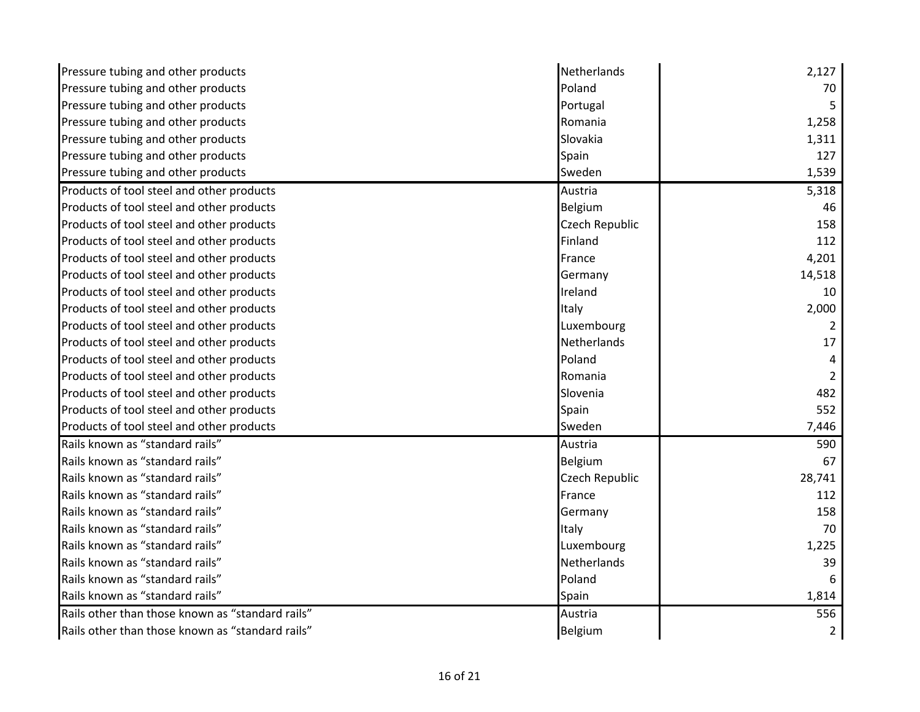| Pressure tubing and other products               | Netherlands    | 2,127          |
|--------------------------------------------------|----------------|----------------|
| Pressure tubing and other products               | Poland         | 70             |
| Pressure tubing and other products               | Portugal       |                |
| Pressure tubing and other products               | Romania        | 1,258          |
| Pressure tubing and other products               | Slovakia       | 1,311          |
| Pressure tubing and other products               | Spain          | 127            |
| Pressure tubing and other products               | Sweden         | 1,539          |
| Products of tool steel and other products        | Austria        | 5,318          |
| Products of tool steel and other products        | Belgium        | 46             |
| Products of tool steel and other products        | Czech Republic | 158            |
| Products of tool steel and other products        | Finland        | 112            |
| Products of tool steel and other products        | France         | 4,201          |
| Products of tool steel and other products        | Germany        | 14,518         |
| Products of tool steel and other products        | Ireland        | 10             |
| Products of tool steel and other products        | Italy          | 2,000          |
| Products of tool steel and other products        | Luxembourg     |                |
| Products of tool steel and other products        | Netherlands    | 17             |
| Products of tool steel and other products        | Poland         |                |
| Products of tool steel and other products        | Romania        |                |
| Products of tool steel and other products        | Slovenia       | 482            |
| Products of tool steel and other products        | Spain          | 552            |
| Products of tool steel and other products        | Sweden         | 7,446          |
| Rails known as "standard rails"                  | Austria        | 590            |
| Rails known as "standard rails"                  | Belgium        | 67             |
| Rails known as "standard rails"                  | Czech Republic | 28,741         |
| Rails known as "standard rails"                  | France         | 112            |
| Rails known as "standard rails"                  | Germany        | 158            |
| Rails known as "standard rails"                  | Italy          | 70             |
| Rails known as "standard rails"                  | Luxembourg     | 1,225          |
| Rails known as "standard rails"                  | Netherlands    | 39             |
| Rails known as "standard rails"                  | Poland         |                |
| Rails known as "standard rails"                  | Spain          | 1,814          |
| Rails other than those known as "standard rails" | Austria        | 556            |
| Rails other than those known as "standard rails" | <b>Belgium</b> | $\overline{2}$ |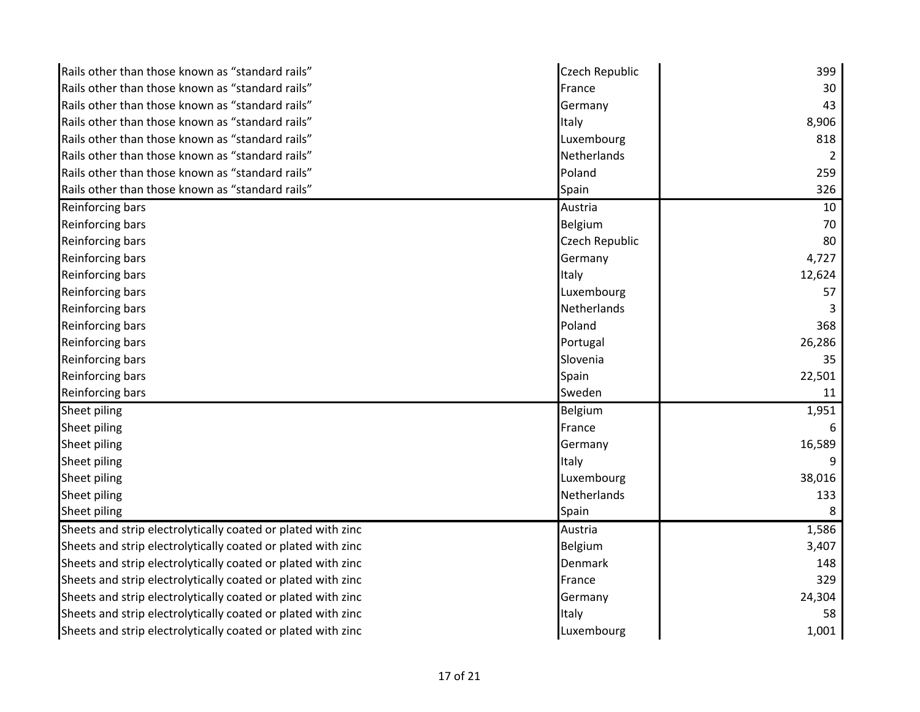| Rails other than those known as "standard rails"             | Czech Republic | 399    |
|--------------------------------------------------------------|----------------|--------|
| Rails other than those known as "standard rails"             | France         | 30     |
| Rails other than those known as "standard rails"             | Germany        | 43     |
| Rails other than those known as "standard rails"             | Italy          | 8,906  |
| Rails other than those known as "standard rails"             | Luxembourg     | 818    |
| Rails other than those known as "standard rails"             | Netherlands    | 2      |
| Rails other than those known as "standard rails"             | Poland         | 259    |
| Rails other than those known as "standard rails"             | Spain          | 326    |
| <b>Reinforcing bars</b>                                      | Austria        | 10     |
| Reinforcing bars                                             | Belgium        | 70     |
| Reinforcing bars                                             | Czech Republic | 80     |
| Reinforcing bars                                             | Germany        | 4,727  |
| Reinforcing bars                                             | Italy          | 12,624 |
| Reinforcing bars                                             | Luxembourg     | 57     |
| Reinforcing bars                                             | Netherlands    |        |
| Reinforcing bars                                             | Poland         | 368    |
| Reinforcing bars                                             | Portugal       | 26,286 |
| Reinforcing bars                                             | Slovenia       | 35     |
| Reinforcing bars                                             | Spain          | 22,501 |
| Reinforcing bars                                             | Sweden         | 11     |
| Sheet piling                                                 | Belgium        | 1,951  |
| Sheet piling                                                 | France         |        |
| Sheet piling                                                 | Germany        | 16,589 |
| Sheet piling                                                 | Italy          |        |
| Sheet piling                                                 | Luxembourg     | 38,016 |
| Sheet piling                                                 | Netherlands    | 133    |
| Sheet piling                                                 | Spain          |        |
| Sheets and strip electrolytically coated or plated with zinc | Austria        | 1,586  |
| Sheets and strip electrolytically coated or plated with zinc | Belgium        | 3,407  |
| Sheets and strip electrolytically coated or plated with zinc | Denmark        | 148    |
| Sheets and strip electrolytically coated or plated with zinc | France         | 329    |
| Sheets and strip electrolytically coated or plated with zinc | Germany        | 24,304 |
| Sheets and strip electrolytically coated or plated with zinc | Italy          | 58     |
| Sheets and strip electrolytically coated or plated with zinc | Luxembourg     | 1,001  |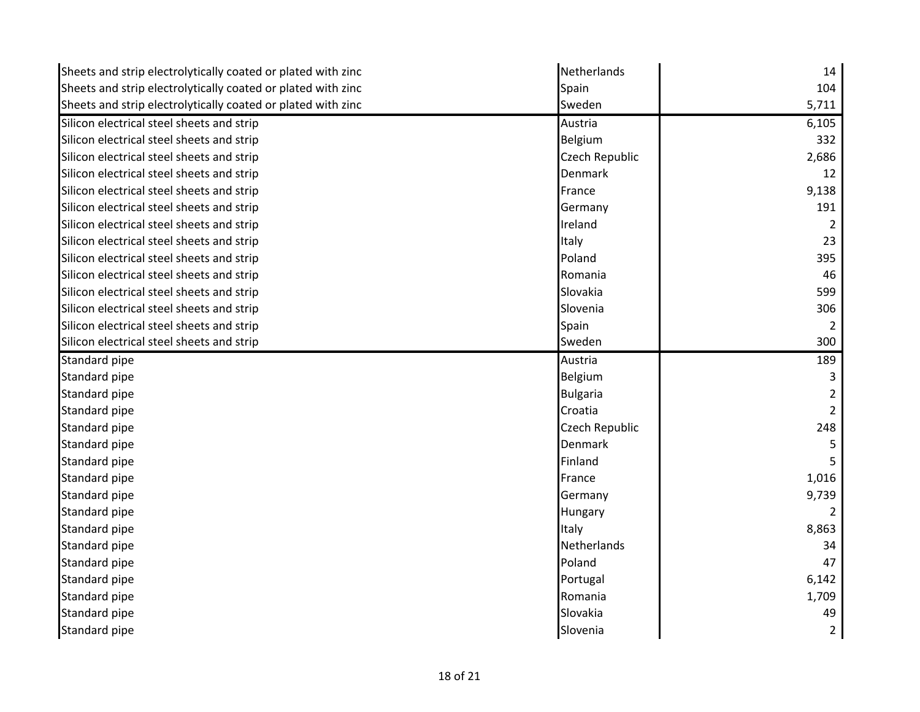| Sheets and strip electrolytically coated or plated with zinc | Netherlands     | 14    |
|--------------------------------------------------------------|-----------------|-------|
| Sheets and strip electrolytically coated or plated with zinc | Spain           | 104   |
| Sheets and strip electrolytically coated or plated with zinc | Sweden          | 5,711 |
| Silicon electrical steel sheets and strip                    | Austria         | 6,105 |
| Silicon electrical steel sheets and strip                    | Belgium         | 332   |
| Silicon electrical steel sheets and strip                    | Czech Republic  | 2,686 |
| Silicon electrical steel sheets and strip                    | Denmark         | 12    |
| Silicon electrical steel sheets and strip                    | France          | 9,138 |
| Silicon electrical steel sheets and strip                    | Germany         | 191   |
| Silicon electrical steel sheets and strip                    | Ireland         |       |
| Silicon electrical steel sheets and strip                    | Italy           | 23    |
| Silicon electrical steel sheets and strip                    | Poland          | 395   |
| Silicon electrical steel sheets and strip                    | Romania         | 46    |
| Silicon electrical steel sheets and strip                    | Slovakia        | 599   |
| Silicon electrical steel sheets and strip                    | Slovenia        | 306   |
| Silicon electrical steel sheets and strip                    | Spain           | 2     |
| Silicon electrical steel sheets and strip                    | Sweden          | 300   |
| Standard pipe                                                | Austria         | 189   |
| Standard pipe                                                | Belgium         |       |
| Standard pipe                                                | <b>Bulgaria</b> |       |
| Standard pipe                                                | Croatia         | 2     |
| Standard pipe                                                | Czech Republic  | 248   |
| Standard pipe                                                | Denmark         | 5     |
| Standard pipe                                                | Finland         |       |
| Standard pipe                                                | France          | 1,016 |
| Standard pipe                                                | Germany         | 9,739 |
| Standard pipe                                                | Hungary         |       |
| Standard pipe                                                | Italy           | 8,863 |
| Standard pipe                                                | Netherlands     | 34    |
| Standard pipe                                                | Poland          | 47    |
| Standard pipe                                                | Portugal        | 6,142 |
| Standard pipe                                                | Romania         | 1,709 |
| Standard pipe                                                | Slovakia        | 49    |
| Standard pipe                                                | Slovenia        | 2     |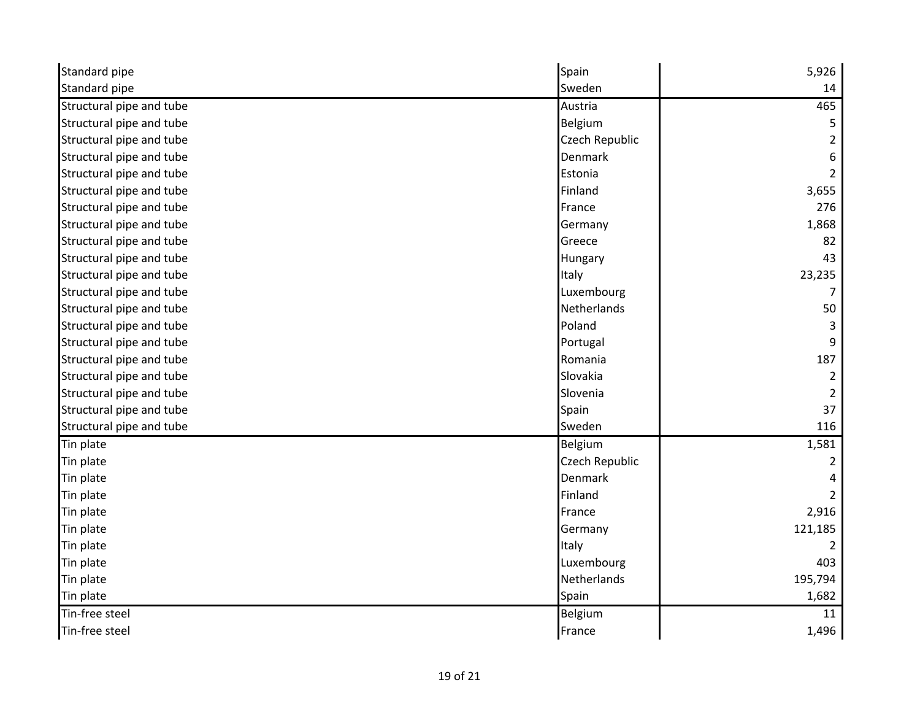| Standard pipe            | Spain          | 5,926         |
|--------------------------|----------------|---------------|
| Standard pipe            | Sweden         | 14            |
| Structural pipe and tube | Austria        | 465           |
| Structural pipe and tube | Belgium        |               |
| Structural pipe and tube | Czech Republic | 2             |
| Structural pipe and tube | <b>Denmark</b> | 6             |
| Structural pipe and tube | Estonia        | $\mathcal{P}$ |
| Structural pipe and tube | Finland        | 3,655         |
| Structural pipe and tube | France         | 276           |
| Structural pipe and tube | Germany        | 1,868         |
| Structural pipe and tube | Greece         | 82            |
| Structural pipe and tube | Hungary        | 43            |
| Structural pipe and tube | Italy          | 23,235        |
| Structural pipe and tube | Luxembourg     |               |
| Structural pipe and tube | Netherlands    | 50            |
| Structural pipe and tube | Poland         |               |
| Structural pipe and tube | Portugal       | 9             |
| Structural pipe and tube | Romania        | 187           |
| Structural pipe and tube | Slovakia       |               |
| Structural pipe and tube | Slovenia       | 2             |
| Structural pipe and tube | Spain          | 37            |
| Structural pipe and tube | Sweden         | 116           |
| Tin plate                | Belgium        | 1,581         |
| Tin plate                | Czech Republic |               |
| Tin plate                | <b>Denmark</b> |               |
| Tin plate                | Finland        |               |
| Tin plate                | France         | 2,916         |
| Tin plate                | Germany        | 121,185       |
| Tin plate                | Italy          |               |
| Tin plate                | Luxembourg     | 403           |
| Tin plate                | Netherlands    | 195,794       |
| Tin plate                | Spain          | 1,682         |
| Tin-free steel           | Belgium        | 11            |
| Tin-free steel           | France         | 1,496         |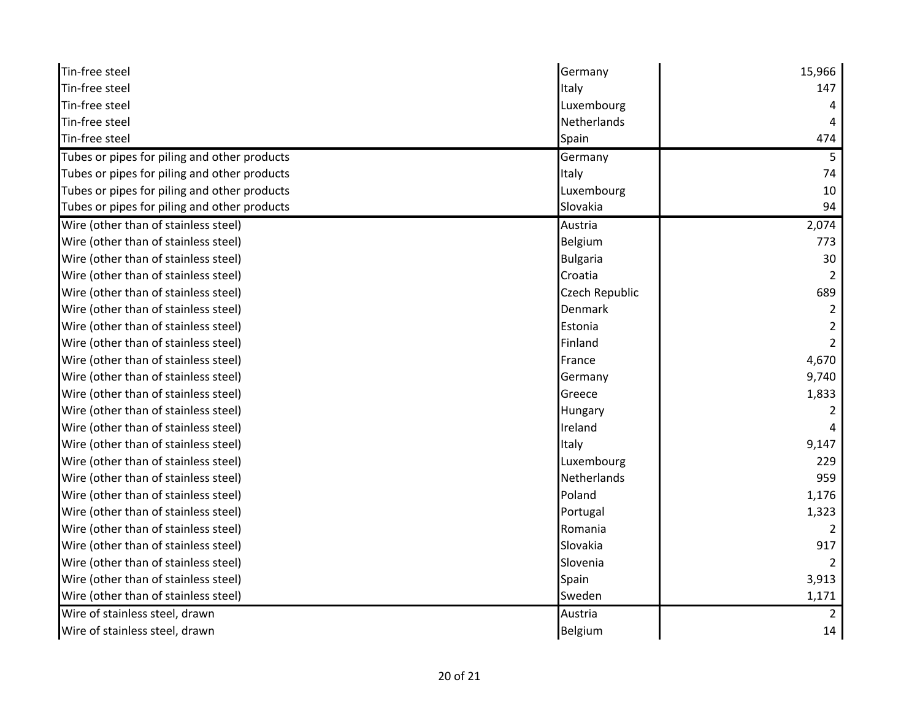| Tin-free steel                               | Germany            | 15,966         |
|----------------------------------------------|--------------------|----------------|
| Tin-free steel                               | Italy              | 147            |
| Tin-free steel                               | Luxembourg         |                |
| Tin-free steel                               | Netherlands        |                |
| Tin-free steel                               | Spain              | 474            |
| Tubes or pipes for piling and other products | Germany            | 5              |
| Tubes or pipes for piling and other products | Italy              | 74             |
| Tubes or pipes for piling and other products | Luxembourg         | 10             |
| Tubes or pipes for piling and other products | Slovakia           | 94             |
| Wire (other than of stainless steel)         | Austria            | 2,074          |
| Wire (other than of stainless steel)         | Belgium            | 773            |
| Wire (other than of stainless steel)         | <b>Bulgaria</b>    | 30             |
| Wire (other than of stainless steel)         | Croatia            |                |
| Wire (other than of stainless steel)         | Czech Republic     | 689            |
| Wire (other than of stainless steel)         | Denmark            |                |
| Wire (other than of stainless steel)         | Estonia            |                |
| Wire (other than of stainless steel)         | Finland            |                |
| Wire (other than of stainless steel)         | France             | 4,670          |
| Wire (other than of stainless steel)         | Germany            | 9,740          |
| Wire (other than of stainless steel)         | Greece             | 1,833          |
| Wire (other than of stainless steel)         | Hungary            |                |
| Wire (other than of stainless steel)         | Ireland            |                |
| Wire (other than of stainless steel)         | Italy              | 9,147          |
| Wire (other than of stainless steel)         | Luxembourg         | 229            |
| Wire (other than of stainless steel)         | <b>Netherlands</b> | 959            |
| Wire (other than of stainless steel)         | Poland             | 1,176          |
| Wire (other than of stainless steel)         | Portugal           | 1,323          |
| Wire (other than of stainless steel)         | Romania            |                |
| Wire (other than of stainless steel)         | Slovakia           | 917            |
| Wire (other than of stainless steel)         | Slovenia           |                |
| Wire (other than of stainless steel)         | Spain              | 3,913          |
| Wire (other than of stainless steel)         | Sweden             | 1,171          |
| Wire of stainless steel, drawn               | Austria            | $\overline{2}$ |
| Wire of stainless steel, drawn               | Belgium            | 14             |